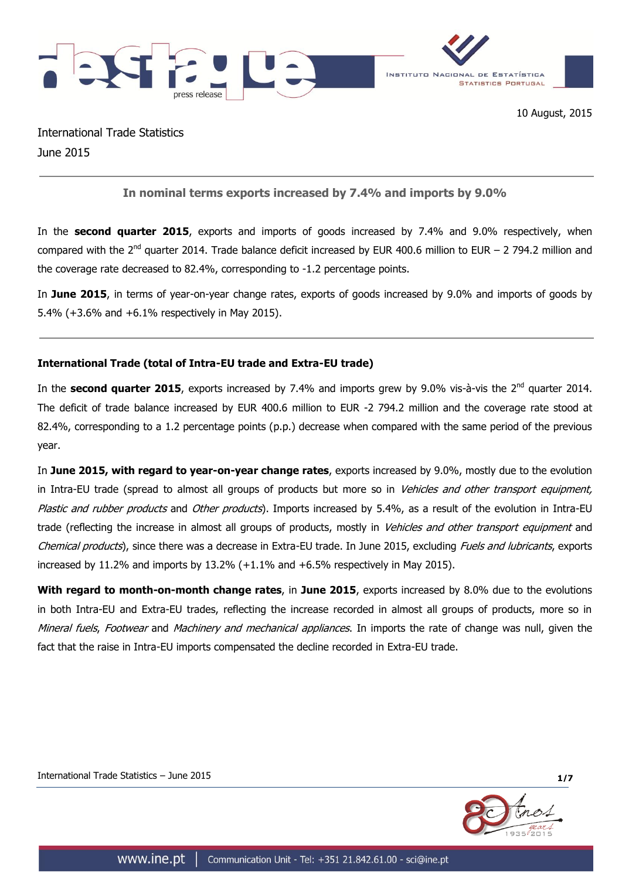

International Trade Statistics June 2015

# **In nominal terms exports increased by 7.4% and imports by 9.0%**

In the **second quarter 2015**, exports and imports of goods increased by 7.4% and 9.0% respectively, when compared with the 2<sup>nd</sup> quarter 2014. Trade balance deficit increased by EUR 400.6 million to EUR – 2 794.2 million and the coverage rate decreased to 82.4%, corresponding to -1.2 percentage points.

In **June 2015**, in terms of year-on-year change rates, exports of goods increased by 9.0% and imports of goods by 5.4% (+3.6% and +6.1% respectively in May 2015).

#### **International Trade (total of Intra-EU trade and Extra-EU trade)**

In the **second quarter 2015**, exports increased by 7.4% and imports grew by 9.0% vis-à-vis the 2<sup>nd</sup> quarter 2014. The deficit of trade balance increased by EUR 400.6 million to EUR -2 794.2 million and the coverage rate stood at 82.4%, corresponding to a 1.2 percentage points (p.p.) decrease when compared with the same period of the previous year.

In **June 2015, with regard to year-on-year change rates**, exports increased by 9.0%, mostly due to the evolution in Intra-EU trade (spread to almost all groups of products but more so in *Vehicles and other transport equipment*, Plastic and rubber products and Other products). Imports increased by 5.4%, as a result of the evolution in Intra-EU trade (reflecting the increase in almost all groups of products, mostly in Vehicles and other transport equipment and Chemical products), since there was a decrease in Extra-EU trade. In June 2015, excluding *Fuels and lubricants*, exports increased by 11.2% and imports by 13.2% (+1.1% and +6.5% respectively in May 2015).

**With regard to month-on-month change rates**, in **June 2015**, exports increased by 8.0% due to the evolutions in both Intra-EU and Extra-EU trades, reflecting the increase recorded in almost all groups of products, more so in Mineral fuels, Footwear and Machinery and mechanical appliances. In imports the rate of change was null, given the fact that the raise in Intra-EU imports compensated the decline recorded in Extra-EU trade.



International Trade Statistics – June 2015 **1/7**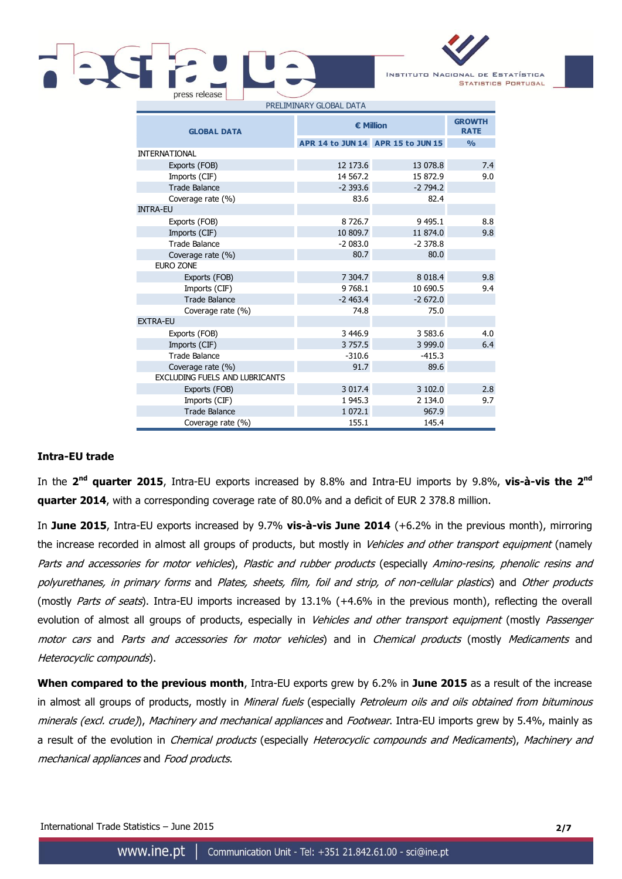

**GROWTH RATE APR 14 to JUN 14 APR 15 to JUN 15 %** INTERNATIONAL Exports (FOB) 12 173.6 13 078.8 7.4 Imports (CIF) 14 567.2 15 872.9 9.0 Trade Balance -2 393.6 -2 794.2 Coverage rate (%) 83.6 82.4 INTRA-EU Exports (FOB) 8726.7 9 495.1 8.8 Imports (CIF) 10 809.7 11 874.0 9.8 Trade Balance **-2 083.0** -2 378.8 Coverage rate (%) 80.7 80.0 EURO ZONE Exports (FOB) 7 304.7 8 018.4 9.8 Imports (CIF) 9768.1 10 690.5 9.4 Trade Balance **-2 463.4** -2 463.4 Coverage rate (%) 74.8 75.0 EXTRA-EU Exports (FOB) 3 446.9 3 583.6 4.0 Imports (CIF) 3757.5 3999.0 6.4 Trade Balance - 310.6 -415.3 Coverage rate (%) 89.6 EXCLUDING FUELS AND LUBRICANTS Exports (FOB) 3 017.4 3 102.0 2.8 Imports (CIF) 1945.3 2 134.0 9.7 Trade Balance 1 072.1 967.9 Coverage rate (%) 155.1 145.4 **GLOBAL DATA € Million**

#### **Intra-EU trade**

In the 2<sup>nd</sup> quarter 2015, Intra-EU exports increased by 8.8% and Intra-EU imports by 9.8%, vis-à-vis the 2<sup>nd</sup> **quarter 2014**, with a corresponding coverage rate of 80.0% and a deficit of EUR 2 378.8 million.

In **June 2015**, Intra-EU exports increased by 9.7% **vis-à-vis June 2014** (+6.2% in the previous month), mirroring the increase recorded in almost all groups of products, but mostly in Vehicles and other transport equipment (namely Parts and accessories for motor vehicles), Plastic and rubber products (especially Amino-resins, phenolic resins and polyurethanes, in primary forms and Plates, sheets, film, foil and strip, of non-cellular plastics) and Other products (mostly Parts of seats). Intra-EU imports increased by 13.1% (+4.6% in the previous month), reflecting the overall evolution of almost all groups of products, especially in Vehicles and other transport equipment (mostly Passenger motor cars and Parts and accessories for motor vehicles) and in Chemical products (mostly Medicaments and Heterocyclic compounds).

**When compared to the previous month**, Intra-EU exports grew by 6.2% in **June 2015** as a result of the increase in almost all groups of products, mostly in Mineral fuels (especially Petroleum oils and oils obtained from bituminous minerals (excl. crude)), Machinery and mechanical appliances and Footwear. Intra-EU imports grew by 5.4%, mainly as a result of the evolution in *Chemical products* (especially *Heterocyclic compounds and Medicaments*), Machinery and mechanical appliances and Food products.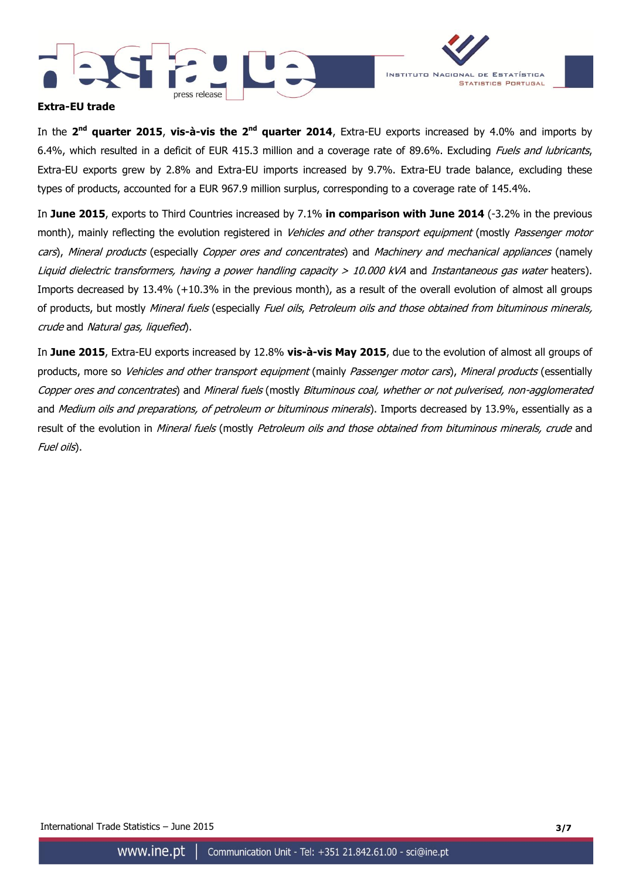



# **Extra-EU trade**

In the 2<sup>nd</sup> quarter 2015, vis-à-vis the 2<sup>nd</sup> quarter 2014, Extra-EU exports increased by 4.0% and imports by 6.4%, which resulted in a deficit of EUR 415.3 million and a coverage rate of 89.6%. Excluding Fuels and lubricants, Extra-EU exports grew by 2.8% and Extra-EU imports increased by 9.7%. Extra-EU trade balance, excluding these types of products, accounted for a EUR 967.9 million surplus, corresponding to a coverage rate of 145.4%.

In **June 2015**, exports to Third Countries increased by 7.1% **in comparison with June 2014** (-3.2% in the previous month), mainly reflecting the evolution registered in Vehicles and other transport equipment (mostly Passenger motor cars), Mineral products (especially Copper ores and concentrates) and Machinery and mechanical appliances (namely Liquid dielectric transformers, having a power handling capacity > 10.000 kVA and Instantaneous gas water heaters). Imports decreased by 13.4% (+10.3% in the previous month), as a result of the overall evolution of almost all groups of products, but mostly Mineral fuels (especially Fuel oils, Petroleum oils and those obtained from bituminous minerals, crude and Natural gas, liquefied).

In **June 2015**, Extra-EU exports increased by 12.8% **vis-à-vis May 2015**, due to the evolution of almost all groups of products, more so Vehicles and other transport equipment (mainly Passenger motor cars), Mineral products (essentially Copper ores and concentrates) and Mineral fuels (mostly Bituminous coal, whether or not pulverised, non-agglomerated and Medium oils and preparations, of petroleum or bituminous minerals). Imports decreased by 13.9%, essentially as a result of the evolution in Mineral fuels (mostly Petroleum oils and those obtained from bituminous minerals, crude and Fuel oils).

International Trade Statistics – June 2015 **3/7**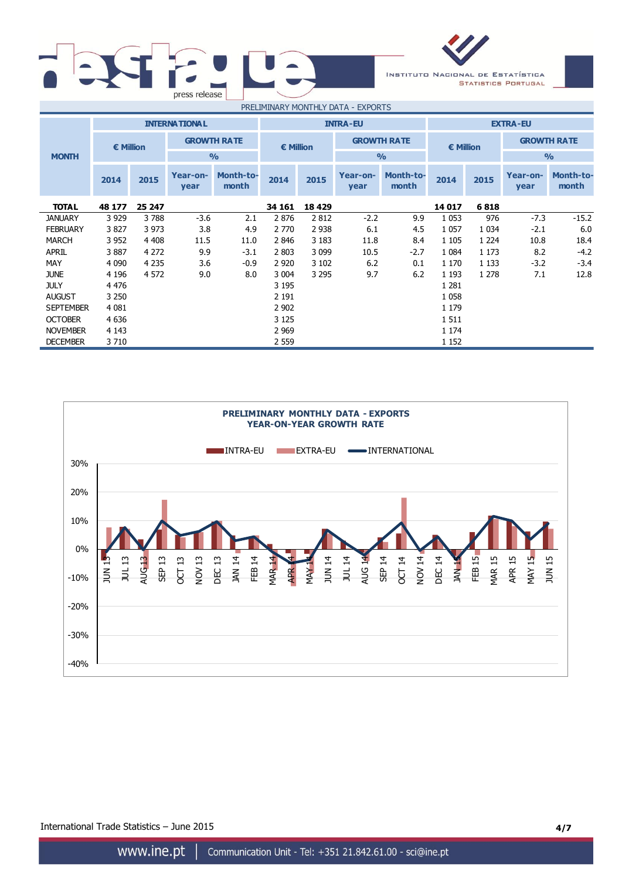| press release |                                    |        |
|---------------|------------------------------------|--------|
|               | <b>DDELTMINIADVALOMENTUM COATA</b> | $\sim$ |

INSTITUTO NACIONAL DE ESTATÍSTICA **STATISTICS PORTUGAL** 

| PRELIMINARY MONTHLY DATA - EXPORTS |           |         |                      |                           |                    |         |                    |                           |           |         |                    |                           |
|------------------------------------|-----------|---------|----------------------|---------------------------|--------------------|---------|--------------------|---------------------------|-----------|---------|--------------------|---------------------------|
|                                    |           |         | <b>INTERNATIONAL</b> |                           | <b>INTRA-EU</b>    |         |                    | <b>EXTRA-EU</b>           |           |         |                    |                           |
|                                    | € Million |         | <b>GROWTH RATE</b>   |                           | $\epsilon$ Million |         | <b>GROWTH RATE</b> |                           | € Million |         | <b>GROWTH RATE</b> |                           |
| <b>MONTH</b>                       |           |         |                      | $\frac{9}{0}$             |                    |         |                    | $\frac{0}{0}$             |           |         | $\frac{9}{0}$      |                           |
|                                    | 2014      | 2015    | Year-on-<br>year     | <b>Month-to-</b><br>month | 2014               | 2015    | Year-on-<br>year   | <b>Month-to-</b><br>month | 2014      | 2015    | Year-on-<br>year   | <b>Month-to-</b><br>month |
| <b>TOTAL</b>                       | 48 177    | 25 247  |                      |                           | 34 161             | 18 4 29 |                    |                           | 14 017    | 6818    |                    |                           |
| <b>JANUARY</b>                     | 3 9 2 9   | 3788    | $-3.6$               | 2.1                       | 2876               | 2812    | $-2.2$             | 9.9                       | 1 0 5 3   | 976     | $-7.3$             | $-15.2$                   |
| <b>FEBRUARY</b>                    | 3827      | 3 9 7 3 | 3.8                  | 4.9                       | 2 7 7 0            | 2 9 3 8 | 6.1                | 4.5                       | 1 0 5 7   | 1 0 3 4 | $-2.1$             | 6.0                       |
| <b>MARCH</b>                       | 3 9 5 2   | 4 4 0 8 | 11.5                 | 11.0                      | 2846               | 3 1 8 3 | 11.8               | 8.4                       | 1 1 0 5   | 1 2 2 4 | 10.8               | 18.4                      |
| APRIL                              | 3887      | 4 2 7 2 | 9.9                  | $-3.1$                    | 2 803              | 3 0 9 9 | 10.5               | $-2.7$                    | 1 0 8 4   | 1 1 7 3 | 8.2                | $-4.2$                    |
| MAY                                | 4 0 9 0   | 4 2 3 5 | 3.6                  | $-0.9$                    | 2 9 2 0            | 3 1 0 2 | 6.2                | 0.1                       | 1 170     | 1 1 3 3 | $-3.2$             | $-3.4$                    |
| <b>JUNE</b>                        | 4 1 9 6   | 4 5 7 2 | 9.0                  | 8.0                       | 3 0 0 4            | 3 2 9 5 | 9.7                | 6.2                       | 1 1 9 3   | 1 2 7 8 | 7.1                | 12.8                      |
| <b>JULY</b>                        | 4 4 7 6   |         |                      |                           | 3 195              |         |                    |                           | 1 2 8 1   |         |                    |                           |
| <b>AUGUST</b>                      | 3 2 5 0   |         |                      |                           | 2 1 9 1            |         |                    |                           | 1 0 5 8   |         |                    |                           |
| <b>SEPTEMBER</b>                   | 4 0 8 1   |         |                      |                           | 2 9 0 2            |         |                    |                           | 1 1 7 9   |         |                    |                           |
| <b>OCTOBER</b>                     | 4 6 3 6   |         |                      |                           | 3 1 2 5            |         |                    |                           | 1511      |         |                    |                           |
| <b>NOVEMBER</b>                    | 4 1 4 3   |         |                      |                           | 2 9 6 9            |         |                    |                           | 1 1 7 4   |         |                    |                           |
| <b>DECEMBER</b>                    | 3710      |         |                      |                           | 2 5 5 9            |         |                    |                           | 1 1 5 2   |         |                    |                           |



International Trade Statistics – June 2015 **4/7**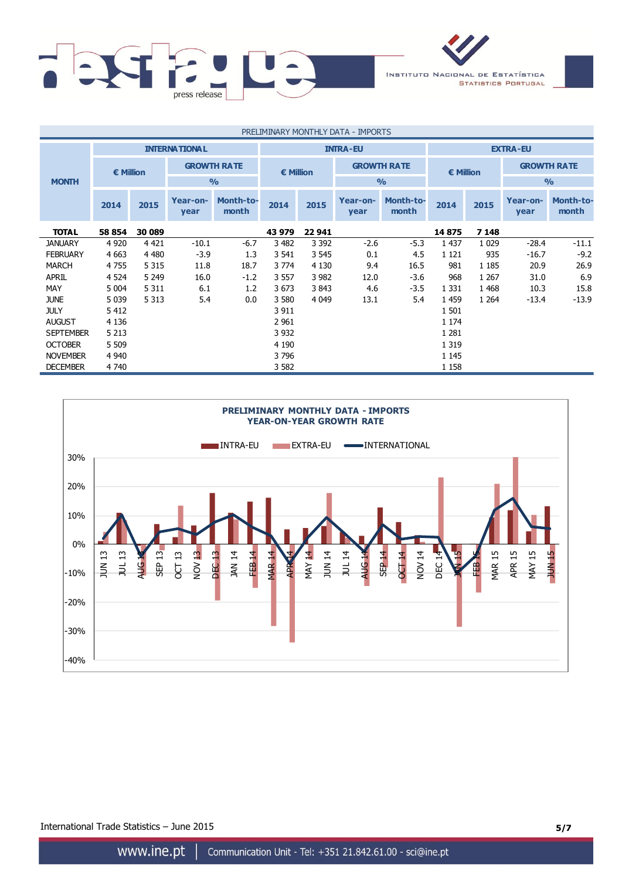

| PRELIMINARY MONTHLY DATA - IMPORTS |                                         |         |                    |                           |         |                    |                  |                           |         |                    |                  |                           |
|------------------------------------|-----------------------------------------|---------|--------------------|---------------------------|---------|--------------------|------------------|---------------------------|---------|--------------------|------------------|---------------------------|
|                                    | <b>INTERNATIONAL</b><br><b>INTRA-EU</b> |         |                    |                           |         |                    | <b>EXTRA-EU</b>  |                           |         |                    |                  |                           |
|                                    | <b>€ Million</b>                        |         | <b>GROWTH RATE</b> | $\epsilon$ Million        |         | <b>GROWTH RATE</b> |                  | € Million                 |         | <b>GROWTH RATE</b> |                  |                           |
| <b>MONTH</b>                       |                                         |         |                    | $\frac{0}{0}$             |         |                    |                  | $\frac{0}{0}$             |         |                    | $\frac{9}{0}$    |                           |
|                                    | 2014                                    | 2015    | Year-on-<br>year   | <b>Month-to-</b><br>month | 2014    | 2015               | Year-on-<br>year | <b>Month-to-</b><br>month | 2014    | 2015               | Year-on-<br>year | <b>Month-to-</b><br>month |
| <b>TOTAL</b>                       | 58 854                                  | 30 089  |                    |                           | 43 979  | 22 941             |                  |                           | 14875   | 7 1 4 8            |                  |                           |
| <b>JANUARY</b>                     | 4 9 2 0                                 | 4 4 2 1 | $-10.1$            | $-6.7$                    | 3 4 8 2 | 3 3 9 2            | $-2.6$           | $-5.3$                    | 1 4 3 7 | 1 0 2 9            | $-28.4$          | $-11.1$                   |
| <b>FEBRUARY</b>                    | 4 6 63                                  | 4 4 8 0 | $-3.9$             | 1.3                       | 3 5 4 1 | 3 5 4 5            | 0.1              | 4.5                       | 1 1 2 1 | 935                | $-16.7$          | $-9.2$                    |
| <b>MARCH</b>                       | 4755                                    | 5 3 1 5 | 11.8               | 18.7                      | 3 7 7 4 | 4 1 3 0            | 9.4              | 16.5                      | 981     | 1 1 8 5            | 20.9             | 26.9                      |
| <b>APRIL</b>                       | 4 5 24                                  | 5 2 4 9 | 16.0               | $-1.2$                    | 3 5 5 7 | 3 9 8 2            | 12.0             | $-3.6$                    | 968     | 1 2 6 7            | 31.0             | 6.9                       |
| MAY                                | 5 0 0 4                                 | 5 3 1 1 | 6.1                | 1.2                       | 3673    | 3843               | 4.6              | $-3.5$                    | 1 3 3 1 | 1468               | 10.3             | 15.8                      |
| <b>JUNE</b>                        | 5 0 3 9                                 | 5 3 1 3 | 5.4                | 0.0                       | 3 5 8 0 | 4 0 4 9            | 13.1             | 5.4                       | 1459    | 1 2 6 4            | $-13.4$          | $-13.9$                   |
| <b>JULY</b>                        | 5 4 1 2                                 |         |                    |                           | 3 9 1 1 |                    |                  |                           | 1 501   |                    |                  |                           |
| <b>AUGUST</b>                      | 4 1 3 6                                 |         |                    |                           | 2 9 61  |                    |                  |                           | 1 1 7 4 |                    |                  |                           |
| <b>SEPTEMBER</b>                   | 5 2 1 3                                 |         |                    |                           | 3 9 3 2 |                    |                  |                           | 1 2 8 1 |                    |                  |                           |
| <b>OCTOBER</b>                     | 5 5 0 9                                 |         |                    |                           | 4 1 9 0 |                    |                  |                           | 1 3 1 9 |                    |                  |                           |
| <b>NOVEMBER</b>                    | 4 9 4 0                                 |         |                    |                           | 3796    |                    |                  |                           | 1 1 4 5 |                    |                  |                           |
| <b>DECEMBER</b>                    | 4 7 4 0                                 |         |                    |                           | 3 5 8 2 |                    |                  |                           | 1 1 5 8 |                    |                  |                           |



International Trade Statistics – June 2015 **5/7**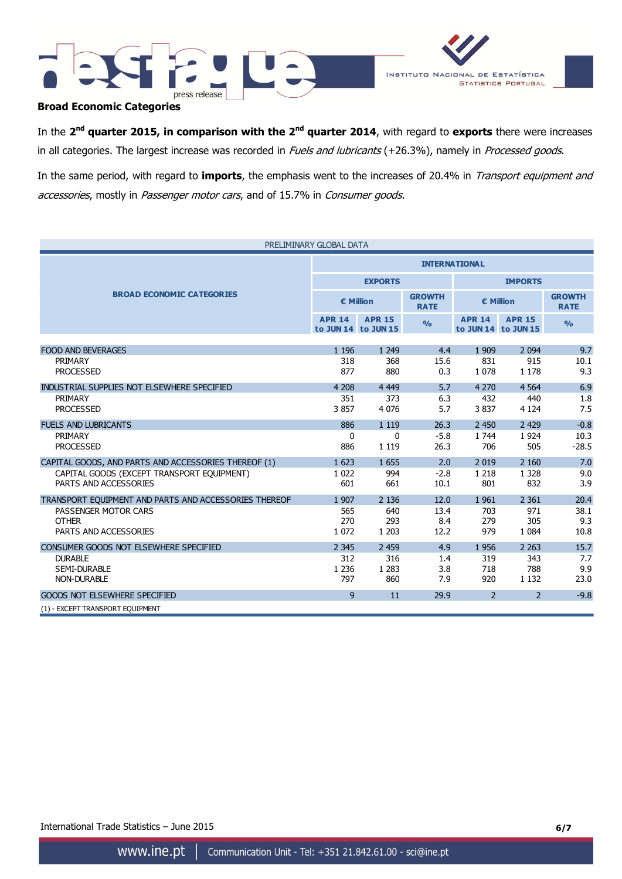



# **Broad Economic Categories**

In the 2<sup>nd</sup> quarter 2015, in comparison with the 2<sup>nd</sup> quarter 2014, with regard to exports there were increases in all categories. The largest increase was recorded in Fuels and lubricants (+26.3%), namely in Processed goods.

In the same period, with regard to **imports**, the emphasis went to the increases of 20.4% in Transport equipment and accessories, mostly in Passenger motor cars, and of 15.7% in Consumer goods.

| PRELIMINARY GLOBAL DATA                               |                      |                                      |                              |                    |                                      |                              |  |
|-------------------------------------------------------|----------------------|--------------------------------------|------------------------------|--------------------|--------------------------------------|------------------------------|--|
|                                                       | <b>INTERNATIONAL</b> |                                      |                              |                    |                                      |                              |  |
|                                                       |                      | <b>EXPORTS</b>                       |                              | <b>IMPORTS</b>     |                                      |                              |  |
| <b>BROAD ECONOMIC CATEGORIES</b>                      |                      | € Million                            | <b>GROWTH</b><br><b>RATE</b> | $\epsilon$ Million |                                      | <b>GROWTH</b><br><b>RATE</b> |  |
|                                                       | <b>APR 14</b>        | <b>APR 15</b><br>to JUN 14 to JUN 15 | O/2                          | <b>APR 14</b>      | <b>APR 15</b><br>to JUN 14 to JUN 15 | $\frac{O}{O}$                |  |
|                                                       |                      |                                      |                              |                    |                                      |                              |  |
| <b>FOOD AND BEVERAGES</b><br>PRIMARY                  | 1 1 9 6              | 1 2 4 9                              | 4.4                          | 1 9 0 9            | 2 0 9 4                              | 9.7                          |  |
| <b>PROCESSED</b>                                      | 318<br>877           | 368<br>880                           | 15.6<br>0.3                  | 831<br>1 0 7 8     | 915<br>1 1 7 8                       | 10.1<br>9.3                  |  |
| INDUSTRIAL SUPPLIES NOT ELSEWHERE SPECIFIED           | 4 2 0 8              | 4 4 4 9                              | 5.7                          | 4 2 7 0            | 4 5 6 4                              | 6.9                          |  |
| PRIMARY                                               | 351                  | 373                                  | 6.3                          | 432                | 440                                  | 1.8                          |  |
| <b>PROCESSED</b>                                      | 3857                 | 4 0 7 6                              | 5.7                          | 3837               | 4 1 2 4                              | 7.5                          |  |
| <b>FUELS AND LUBRICANTS</b>                           | 886                  | 1 1 1 9                              | 26.3                         | 2 4 5 0            | 2 4 2 9                              | $-0.8$                       |  |
| PRIMARY                                               | $\mathbf{0}$         | $\mathbf{0}$                         | $-5.8$                       | 1 7 4 4            | 1924                                 | 10.3                         |  |
| <b>PROCESSED</b>                                      | 886                  | 1 1 1 9                              | 26.3                         | 706                | 505                                  | $-28.5$                      |  |
| CAPITAL GOODS, AND PARTS AND ACCESSORIES THEREOF (1)  | 1 623                | 1 6 5 5                              | 2.0                          | 2 0 1 9            | 2 1 6 0                              | 7.0                          |  |
| CAPITAL GOODS (EXCEPT TRANSPORT EQUIPMENT)            | 1 0 2 2              | 994                                  | $-2.8$                       | 1 2 1 8            | 1 3 2 8                              | 9.0                          |  |
| PARTS AND ACCESSORIES                                 | 601                  | 661                                  | 10.1                         | 801                | 832                                  | 3.9                          |  |
| TRANSPORT EQUIPMENT AND PARTS AND ACCESSORIES THEREOF | 1 907                | 2 1 3 6                              | 12.0                         | 1 9 6 1            | 2 3 6 1                              | 20.4                         |  |
| PASSENGER MOTOR CARS                                  | 565                  | 640                                  | 13.4                         | 703                | 971                                  | 38.1                         |  |
| <b>OTHER</b>                                          | 270                  | 293                                  | 8.4                          | 279                | 305                                  | 9.3                          |  |
| PARTS AND ACCESSORIES                                 | 1 0 7 2              | 1 2 0 3                              | 12.2                         | 979                | 1 0 8 4                              | 10.8                         |  |
| CONSUMER GOODS NOT ELSEWHERE SPECIFIED                | 2 3 4 5              | 2 4 5 9                              | 4.9                          | 1956               | 2 2 6 3                              | 15.7                         |  |
| <b>DURABLE</b>                                        | 312                  | 316                                  | 1.4                          | 319                | 343                                  | 7.7                          |  |
| <b>SEMI-DURABLE</b>                                   | 1 2 3 6              | 1 2 8 3                              | 3.8                          | 718                | 788                                  | 9.9                          |  |
| NON-DURABLE                                           | 797                  | 860                                  | 7.9                          | 920                | 1 1 3 2                              | 23.0                         |  |
| <b>GOODS NOT ELSEWHERE SPECIFIED</b>                  | 9                    | 11                                   | 29.9                         | $\overline{2}$     | 2                                    | $-9.8$                       |  |
| (1) - EXCEPT TRANSPORT EQUIPMENT                      |                      |                                      |                              |                    |                                      |                              |  |